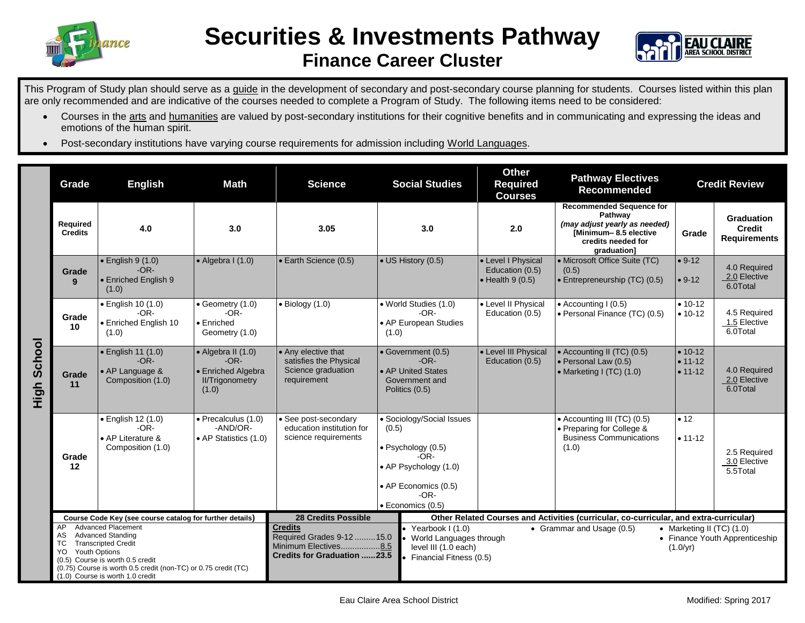



This Program of Study plan should serve as a guide in the development of secondary and post-secondary course planning for students. Courses listed within this plan are only recommended and are indicative of the courses needed to complete a Program of Study. The following items need to be considered:

- Courses in the arts and humanities are valued by post-secondary institutions for their cognitive benefits and in communicating and expressing the ideas and emotions of the human spirit.
- Post-secondary institutions have varying course requirements for admission including World Languages.

|                | <b>Math</b><br>Grade<br><b>English</b>                                                                                                                                                                                                                                          |                                                                                | <b>Science</b>                                                                                | <b>Social Studies</b>                                                                                      | <b>Other</b><br><b>Required</b><br><b>Courses</b>                                                                                                  | <b>Pathway Electives</b><br><b>Recommended</b>                                                           |                                                                                                                                           | <b>Credit Review</b>                    |                                                    |
|----------------|---------------------------------------------------------------------------------------------------------------------------------------------------------------------------------------------------------------------------------------------------------------------------------|--------------------------------------------------------------------------------|-----------------------------------------------------------------------------------------------|------------------------------------------------------------------------------------------------------------|----------------------------------------------------------------------------------------------------------------------------------------------------|----------------------------------------------------------------------------------------------------------|-------------------------------------------------------------------------------------------------------------------------------------------|-----------------------------------------|----------------------------------------------------|
| School<br>High | Required<br><b>Credits</b>                                                                                                                                                                                                                                                      | 4.0                                                                            | 3.0                                                                                           | 3.05                                                                                                       | 3.0                                                                                                                                                | 2.0                                                                                                      | <b>Recommended Sequence for</b><br>Pathway<br>(may adjust yearly as needed)<br>[Minimum-8.5 elective<br>credits needed for<br>graduation] | Grade                                   | <b>Graduation</b><br>Credit<br><b>Requirements</b> |
|                | Grade<br>9                                                                                                                                                                                                                                                                      | $\bullet$ English 9 (1.0)<br>$-OR-$<br>• Enriched English 9<br>(1.0)           | $\bullet$ Algebra I (1.0)                                                                     | • Earth Science (0.5)                                                                                      | • US History (0.5)                                                                                                                                 | • Level I Physical<br>Education (0.5)<br>$\bullet$ Health 9 (0.5)                                        | • Microsoft Office Suite (TC)<br>(0.5)<br>· Entrepreneurship (TC) (0.5)                                                                   | $• 9-12$<br>$• 9-12$                    | 4.0 Required<br>2.0 Elective<br>6.0Total           |
|                | Grade<br>10                                                                                                                                                                                                                                                                     | · English 10 (1.0)<br>$-OR-$<br>• Enriched English 10<br>(1.0)                 | • Geometry (1.0)<br>$-OR-$<br>$\bullet$ Enriched<br>Geometry (1.0)                            | $\bullet$ Biology (1.0)                                                                                    | · World Studies (1.0)<br>$-OR-$<br>• AP European Studies<br>(1.0)                                                                                  | • Level II Physical<br>Education (0.5)                                                                   | • Accounting I (0.5)<br>• Personal Finance (TC) (0.5)                                                                                     | $• 10-12$<br>$• 10-12$                  | 4.5 Required<br>1.5 Elective<br>6.0Total           |
|                | Grade<br>11                                                                                                                                                                                                                                                                     | · English 11 (1.0)<br>$-OR-$<br>• AP Language &<br>Composition (1.0)           | $\bullet$ Algebra II (1.0)<br>$-OR-$<br>• Enriched Algebra<br><b>II/Trigonometry</b><br>(1.0) | • Any elective that<br>satisfies the Physical<br>Science graduation<br>requirement                         | • Government (0.5)<br>$-OR-$<br>• AP United States<br>Government and<br>Politics (0.5)                                                             | • Level III Physical<br>Education (0.5)                                                                  | • Accounting II (TC) (0.5)<br>· Personal Law (0.5)<br>• Marketing I (TC) (1.0)                                                            | $• 10-12$<br>$• 11 - 12$<br>$• 11 - 12$ | 4.0 Required<br>2.0 Elective<br>6.0Total           |
|                | Grade<br>12                                                                                                                                                                                                                                                                     | $\bullet$ English 12 (1.0)<br>$-OR-$<br>• AP Literature &<br>Composition (1.0) | · Precalculus (1.0)<br>-AND/OR-<br>• AP Statistics (1.0)                                      | · See post-secondary<br>education institution for<br>science requirements                                  | · Sociology/Social Issues<br>(0.5)<br>· Psychology (0.5)<br>$-OR-$<br>• AP Psychology (1.0)<br>• AP Economics (0.5)<br>$-OR-$<br>· Economics (0.5) |                                                                                                          | • Accounting III (TC) (0.5)<br>• Preparing for College &<br><b>Business Communications</b><br>(1.0)                                       | • 12<br>$• 11 - 12$                     | 2.5 Required<br>3.0 Elective<br>5.5Total           |
|                | Course Code Key (see course catalog for further details)                                                                                                                                                                                                                        |                                                                                |                                                                                               | <b>28 Credits Possible</b>                                                                                 |                                                                                                                                                    | Other Related Courses and Activities (curricular, co-curricular, and extra-curricular)                   |                                                                                                                                           |                                         |                                                    |
|                | <b>Advanced Placement</b><br>AP<br><b>Advanced Standing</b><br>AS.<br><b>Transcripted Credit</b><br>ТC<br><b>Youth Options</b><br>YO.<br>(0.5) Course is worth 0.5 credit<br>(0.75) Course is worth 0.5 credit (non-TC) or 0.75 credit (TC)<br>(1.0) Course is worth 1.0 credit |                                                                                |                                                                                               | <b>Credits</b><br>Required Grades 9-12  15.0<br>Minimum Electives8.5<br><b>Credits for Graduation 23.5</b> | Yearbook I (1.0)<br>World Languages through<br>level III (1.0 each)<br>Financial Fitness (0.5)                                                     | • Grammar and Usage (0.5)<br>• Marketing II $(TC)$ $(1.0)$<br>• Finance Youth Apprenticeship<br>(1.0/yr) |                                                                                                                                           |                                         |                                                    |